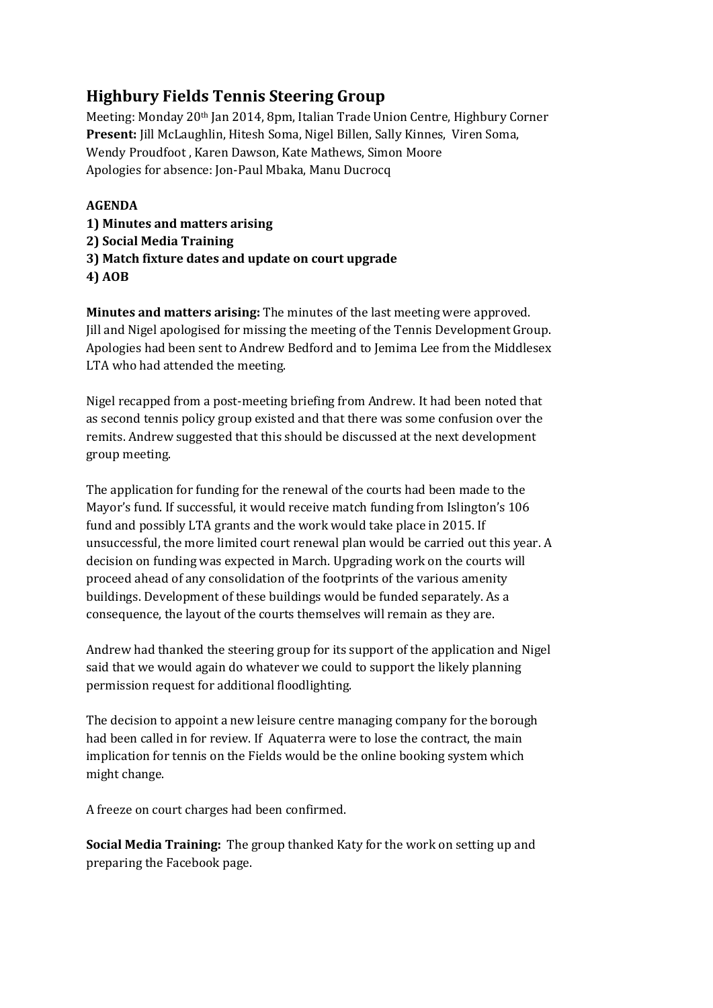## **Highbury Fields Tennis Steering Group**

Meeting: Monday 20th Jan 2014, 8pm, Italian Trade Union Centre, Highbury Corner **Present:** Jill McLaughlin, Hitesh Soma, Nigel Billen, Sally Kinnes, Viren Soma, Wendy Proudfoot , Karen Dawson, Kate Mathews, Simon Moore Apologies for absence: Jon-Paul Mbaka, Manu Ducrocq

## **AGENDA**

- **1) Minutes and matters arising**
- **2) Social Media Training**
- **3) Match fixture dates and update on court upgrade**
- **4) AOB**

**Minutes and matters arising:** The minutes of the last meeting were approved. Jill and Nigel apologised for missing the meeting of the Tennis Development Group. Apologies had been sent to Andrew Bedford and to Jemima Lee from the Middlesex LTA who had attended the meeting.

Nigel recapped from a post-meeting briefing from Andrew. It had been noted that as second tennis policy group existed and that there was some confusion over the remits. Andrew suggested that this should be discussed at the next development group meeting.

The application for funding for the renewal of the courts had been made to the Mayor's fund. If successful, it would receive match funding from Islington's 106 fund and possibly LTA grants and the work would take place in 2015. If unsuccessful, the more limited court renewal plan would be carried out this year. A decision on funding was expected in March. Upgrading work on the courts will proceed ahead of any consolidation of the footprints of the various amenity buildings. Development of these buildings would be funded separately. As a consequence, the layout of the courts themselves will remain as they are.

Andrew had thanked the steering group for its support of the application and Nigel said that we would again do whatever we could to support the likely planning permission request for additional floodlighting.

The decision to appoint a new leisure centre managing company for the borough had been called in for review. If Aquaterra were to lose the contract, the main implication for tennis on the Fields would be the online booking system which might change.

A freeze on court charges had been confirmed.

**Social Media Training:** The group thanked Katy for the work on setting up and preparing the Facebook page.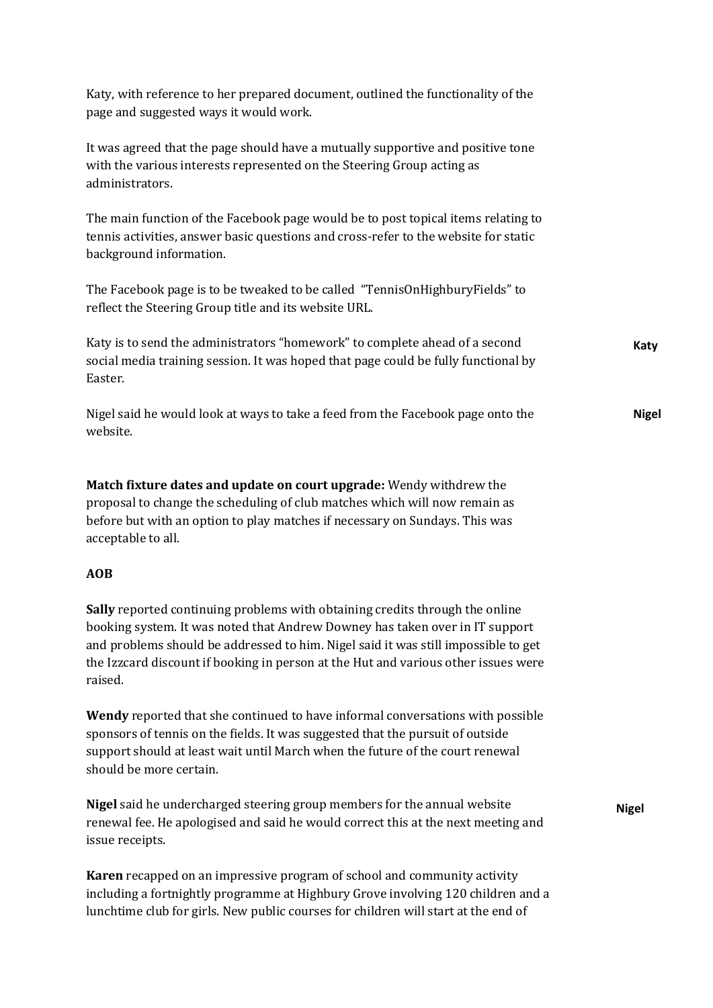| Katy, with reference to her prepared document, outlined the functionality of the<br>page and suggested ways it would work.                                                                                                                                                                                                                          |              |
|-----------------------------------------------------------------------------------------------------------------------------------------------------------------------------------------------------------------------------------------------------------------------------------------------------------------------------------------------------|--------------|
| It was agreed that the page should have a mutually supportive and positive tone<br>with the various interests represented on the Steering Group acting as<br>administrators.                                                                                                                                                                        |              |
| The main function of the Facebook page would be to post topical items relating to<br>tennis activities, answer basic questions and cross-refer to the website for static<br>background information.                                                                                                                                                 |              |
| The Facebook page is to be tweaked to be called "TennisOnHighburyFields" to<br>reflect the Steering Group title and its website URL.                                                                                                                                                                                                                |              |
| Katy is to send the administrators "homework" to complete ahead of a second<br>social media training session. It was hoped that page could be fully functional by<br>Easter.                                                                                                                                                                        | Katy         |
| Nigel said he would look at ways to take a feed from the Facebook page onto the<br>website.                                                                                                                                                                                                                                                         | <b>Nigel</b> |
| Match fixture dates and update on court upgrade: Wendy withdrew the<br>proposal to change the scheduling of club matches which will now remain as<br>before but with an option to play matches if necessary on Sundays. This was<br>acceptable to all.                                                                                              |              |
| <b>AOB</b>                                                                                                                                                                                                                                                                                                                                          |              |
| Sally reported continuing problems with obtaining credits through the online<br>booking system. It was noted that Andrew Downey has taken over in IT support<br>and problems should be addressed to him. Nigel said it was still impossible to get<br>the Izzcard discount if booking in person at the Hut and various other issues were<br>raised. |              |
| Wendy reported that she continued to have informal conversations with possible<br>sponsors of tennis on the fields. It was suggested that the pursuit of outside<br>support should at least wait until March when the future of the court renewal<br>should be more certain.                                                                        |              |
| Nigel said he undercharged steering group members for the annual website<br>renewal fee. He apologised and said he would correct this at the next meeting and<br>issue receipts.                                                                                                                                                                    | <b>Nigel</b> |
| Karen recapped on an impressive program of school and community activity<br>including a fortnightly programme at Highbury Grove involving 120 children and a<br>lunchtime club for girls. New public courses for children will start at the end of                                                                                                  |              |